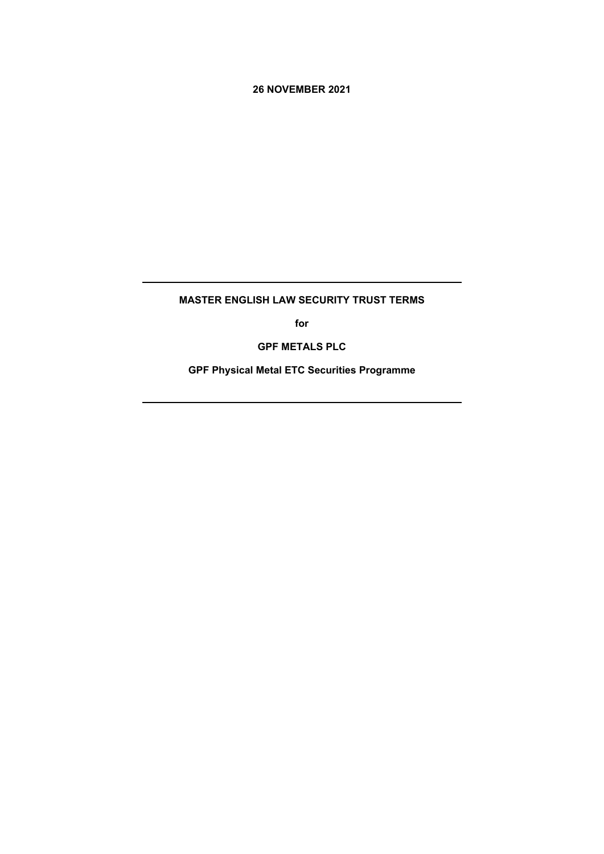**26 NOVEMBER 2021**

# **MASTER ENGLISH LAW SECURITY TRUST TERMS**

**for**

**GPF METALS PLC**

**GPF Physical Metal ETC Securities Programme**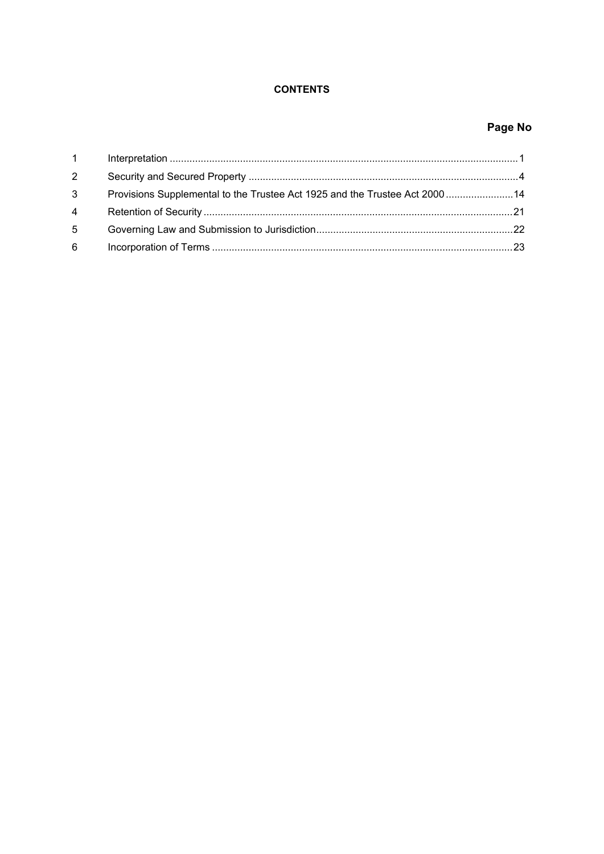# **CONTENTS**

# Page No

| $1 \quad \Box$ |                                                                             |  |
|----------------|-----------------------------------------------------------------------------|--|
| $2^{\circ}$    |                                                                             |  |
| 3 <sup>7</sup> | Provisions Supplemental to the Trustee Act 1925 and the Trustee Act 2000 14 |  |
|                |                                                                             |  |
| 5 <sup>5</sup> |                                                                             |  |
| 6              |                                                                             |  |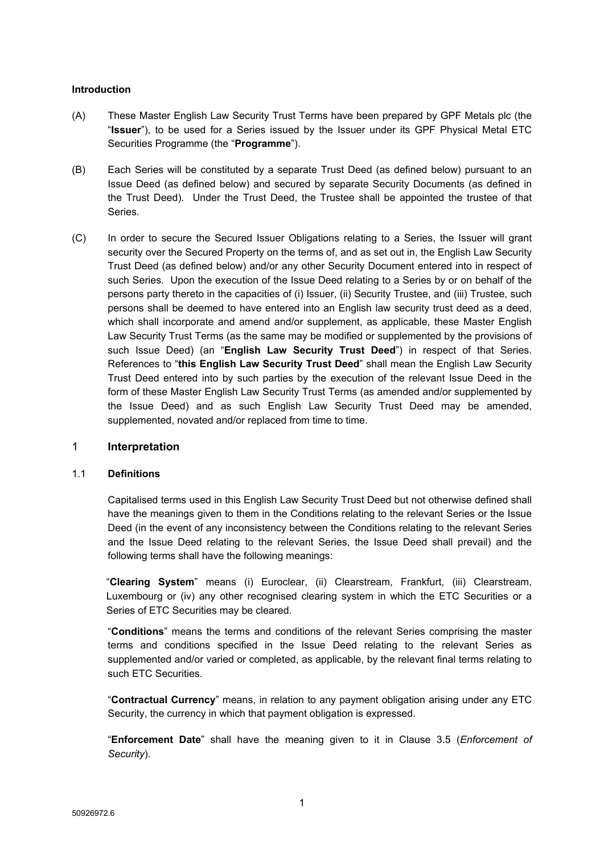## **Introduction**

- (A) These Master English Law Security Trust Terms have been prepared by GPF Metals plc (the "**Issuer**"), to be used for a Series issued by the Issuer under its GPF Physical Metal ETC Securities Programme (the "**Programme**").
- (B) Each Series will be constituted by a separate Trust Deed (as defined below) pursuant to an Issue Deed (as defined below) and secured by separate Security Documents (as defined in the Trust Deed). Under the Trust Deed, the Trustee shall be appointed the trustee of that Series.
- (C) In order to secure the Secured Issuer Obligations relating to a Series, the Issuer will grant security over the Secured Property on the terms of, and as set out in, the English Law Security Trust Deed (as defined below) and/or any other Security Document entered into in respect of such Series. Upon the execution of the Issue Deed relating to a Series by or on behalf of the persons party thereto in the capacities of (i) Issuer, (ii) Security Trustee, and (iii) Trustee, such persons shall be deemed to have entered into an English law security trust deed as a deed, which shall incorporate and amend and/or supplement, as applicable, these Master English Law Security Trust Terms (as the same may be modified or supplemented by the provisions of such Issue Deed) (an "**English Law Security Trust Deed**") in respect of that Series. References to "**this English Law Security Trust Deed**" shall mean the English Law Security Trust Deed entered into by such parties by the execution of the relevant Issue Deed in the form of these Master English Law Security Trust Terms (as amended and/or supplemented by the Issue Deed) and as such English Law Security Trust Deed may be amended, supplemented, novated and/or replaced from time to time.

## <span id="page-2-0"></span>1 **Interpretation**

#### 1.1 **Definitions**

Capitalised terms used in this English Law Security Trust Deed but not otherwise defined shall have the meanings given to them in the Conditions relating to the relevant Series or the Issue Deed (in the event of any inconsistency between the Conditions relating to the relevant Series and the Issue Deed relating to the relevant Series, the Issue Deed shall prevail) and the following terms shall have the following meanings:

"**Clearing System**" means (i) Euroclear, (ii) Clearstream, Frankfurt, (iii) Clearstream, Luxembourg or (iv) any other recognised clearing system in which the ETC Securities or a Series of ETC Securities may be cleared.

"**Conditions**" means the terms and conditions of the relevant Series comprising the master terms and conditions specified in the Issue Deed relating to the relevant Series as supplemented and/or varied or completed, as applicable, by the relevant final terms relating to such ETC Securities.

"**Contractual Currency**" means, in relation to any payment obligation arising under any ETC Security, the currency in which that payment obligation is expressed.

"**Enforcement Date**" shall have the meaning given to it in Clause 3.5 (*[Enforcement](#page-7-0) of [Security](#page-7-0)*).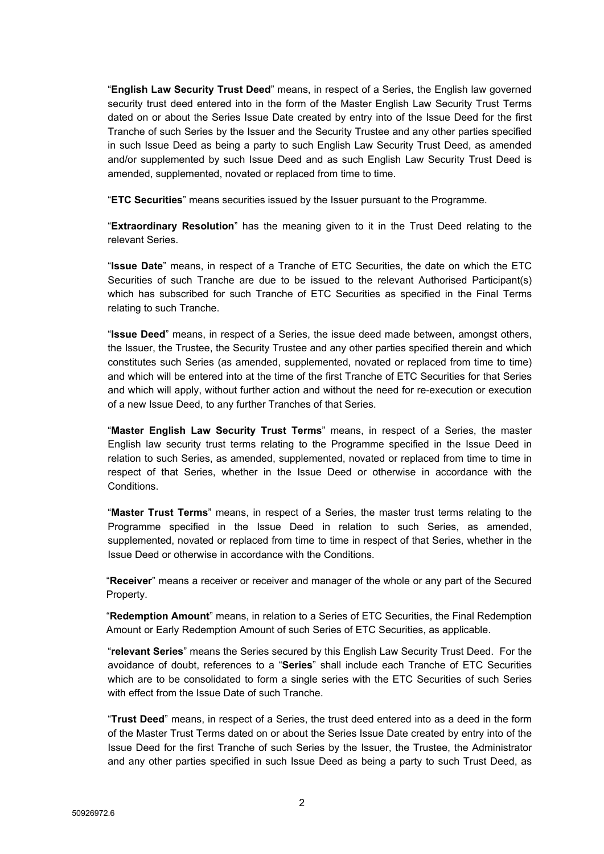"**English Law Security Trust Deed**" means, in respect of a Series, the English law governed security trust deed entered into in the form of the Master English Law Security Trust Terms dated on or about the Series Issue Date created by entry into of the Issue Deed for the first Tranche of such Series by the Issuer and the Security Trustee and any other parties specified in such Issue Deed as being a party to such English Law Security Trust Deed, as amended and/or supplemented by such Issue Deed and as such English Law Security Trust Deed is amended, supplemented, novated or replaced from time to time.

"**ETC Securities**" means securities issued by the Issuer pursuant to the Programme.

"**Extraordinary Resolution**" has the meaning given to it in the Trust Deed relating to the relevant Series.

"**Issue Date**" means, in respect of a Tranche of ETC Securities, the date on which the ETC Securities of such Tranche are due to be issued to the relevant Authorised Participant(s) which has subscribed for such Tranche of ETC Securities as specified in the Final Terms relating to such Tranche.

"**Issue Deed**" means, in respect of a Series, the issue deed made between, amongst others, the Issuer, the Trustee, the Security Trustee and any other parties specified therein and which constitutes such Series (as amended, supplemented, novated or replaced from time to time) and which will be entered into at the time of the first Tranche of ETC Securities for that Series and which will apply, without further action and without the need for re-execution or execution of a new Issue Deed, to any further Tranches of that Series.

"**Master English Law Security Trust Terms**" means, in respect of a Series, the master English law security trust terms relating to the Programme specified in the Issue Deed in relation to such Series, as amended, supplemented, novated or replaced from time to time in respect of that Series, whether in the Issue Deed or otherwise in accordance with the Conditions.

"**Master Trust Terms**" means, in respect of a Series, the master trust terms relating to the Programme specified in the Issue Deed in relation to such Series, as amended, supplemented, novated or replaced from time to time in respect of that Series, whether in the Issue Deed or otherwise in accordance with the Conditions.

"**Receiver**" means a receiver or receiver and manager of the whole or any part of the Secured Property.

"**Redemption Amount**" means, in relation to a Series of ETC Securities, the Final Redemption Amount or Early Redemption Amount of such Series of ETC Securities, as applicable.

"**relevant Series**" means the Series secured by this English Law Security Trust Deed. For the avoidance of doubt, references to a "**Series**" shall include each Tranche of ETC Securities which are to be consolidated to form a single series with the ETC Securities of such Series with effect from the Issue Date of such Tranche.

"**Trust Deed**" means, in respect of a Series, the trust deed entered into as a deed in the form of the Master Trust Terms dated on or about the Series Issue Date created by entry into of the Issue Deed for the first Tranche of such Series by the Issuer, the Trustee, the Administrator and any other parties specified in such Issue Deed as being a party to such Trust Deed, as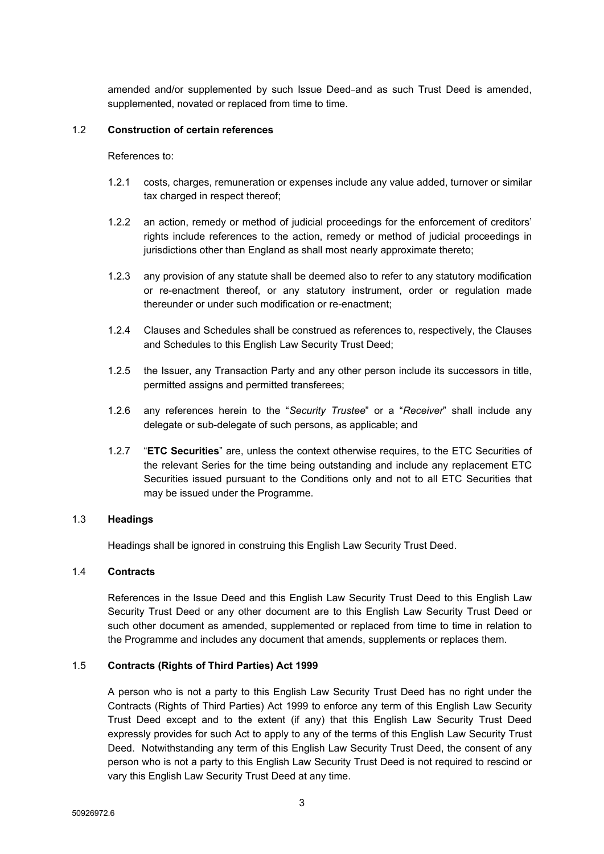amended and/or supplemented by such Issue Deed and as such Trust Deed is amended, supplemented, novated or replaced from time to time.

## 1.2 **Construction of certain references**

References to:

- 1.2.1 costs, charges, remuneration or expenses include any value added, turnover or similar tax charged in respect thereof;
- 1.2.2 an action, remedy or method of judicial proceedings for the enforcement of creditors' rights include references to the action, remedy or method of judicial proceedings in jurisdictions other than England as shall most nearly approximate thereto;
- 1.2.3 any provision of any statute shall be deemed also to refer to any statutory modification or re-enactment thereof, or any statutory instrument, order or regulation made thereunder or under such modification or re-enactment;
- 1.2.4 Clauses and Schedules shall be construed as references to, respectively, the Clauses and Schedules to this English Law Security Trust Deed;
- 1.2.5 the Issuer, any Transaction Party and any other person include its successors in title, permitted assigns and permitted transferees;
- 1.2.6 any references herein to the "*Security Trustee*" or a "*Receiver*" shall include any delegate or sub-delegate of such persons, as applicable; and
- 1.2.7 "**ETC Securities**" are, unless the context otherwise requires, to the ETC Securities of the relevant Series for the time being outstanding and include any replacement ETC Securities issued pursuant to the Conditions only and not to all ETC Securities that may be issued under the Programme.

## 1.3 **Headings**

Headings shall be ignored in construing this English Law Security Trust Deed.

#### 1.4 **Contracts**

References in the Issue Deed and this English Law Security Trust Deed to this English Law Security Trust Deed or any other document are to this English Law Security Trust Deed or such other document as amended, supplemented or replaced from time to time in relation to the Programme and includes any document that amends, supplements or replaces them.

## 1.5 **Contracts (Rights of Third Parties) Act 1999**

A person who is not a party to this English Law Security Trust Deed has no right under the Contracts (Rights of Third Parties) Act 1999 to enforce any term of this English Law Security Trust Deed except and to the extent (if any) that this English Law Security Trust Deed expressly provides for such Act to apply to any of the terms of this English Law Security Trust Deed. Notwithstanding any term of this English Law Security Trust Deed, the consent of any person who is not a party to this English Law Security Trust Deed is not required to rescind or vary this English Law Security Trust Deed at any time.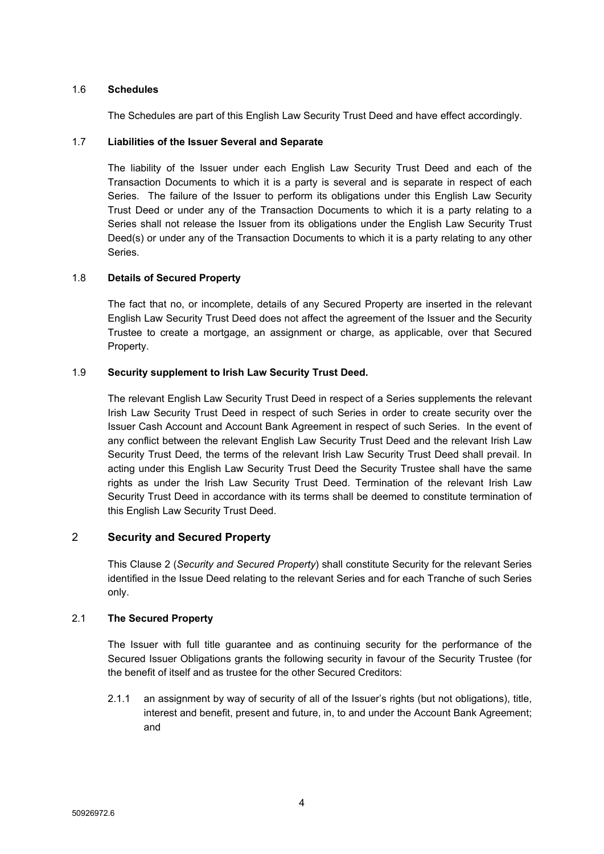## 1.6 **Schedules**

The Schedules are part of this English Law Security Trust Deed and have effect accordingly.

## 1.7 **Liabilities of the Issuer Several and Separate**

The liability of the Issuer under each English Law Security Trust Deed and each of the Transaction Documents to which it is a party is several and is separate in respect of each Series. The failure of the Issuer to perform its obligations under this English Law Security Trust Deed or under any of the Transaction Documents to which it is a party relating to a Series shall not release the Issuer from its obligations under the English Law Security Trust Deed(s) or under any of the Transaction Documents to which it is a party relating to any other Series.

#### 1.8 **Details of Secured Property**

The fact that no, or incomplete, details of any Secured Property are inserted in the relevant English Law Security Trust Deed does not affect the agreement of the Issuer and the Security Trustee to create a mortgage, an assignment or charge, as applicable, over that Secured Property.

#### 1.9 **Security supplement to Irish Law Security Trust Deed.**

The relevant English Law Security Trust Deed in respect of a Series supplements the relevant Irish Law Security Trust Deed in respect of such Series in order to create security over the Issuer Cash Account and Account Bank Agreement in respect of such Series. In the event of any conflict between the relevant English Law Security Trust Deed and the relevant Irish Law Security Trust Deed, the terms of the relevant Irish Law Security Trust Deed shall prevail. In acting under this English Law Security Trust Deed the Security Trustee shall have the same rights as under the Irish Law Security Trust Deed. Termination of the relevant Irish Law Security Trust Deed in accordance with its terms shall be deemed to constitute termination of this English Law Security Trust Deed.

## <span id="page-5-0"></span>2 **Security and Secured Property**

This Clause [2](#page-5-0) (*Security and Secured [Property](#page-5-0)*) shall constitute Security for the relevant Series identified in the Issue Deed relating to the relevant Series and for each Tranche of such Series only.

## 2.1 **The Secured Property**

The Issuer with full title guarantee and as continuing security for the performance of the Secured Issuer Obligations grants the following security in favour of the Security Trustee (for the benefit of itself and as trustee for the other Secured Creditors:

2.1.1 an assignment by way of security of all of the Issuer's rights (but not obligations), title, interest and benefit, present and future, in, to and under the Account Bank Agreement; and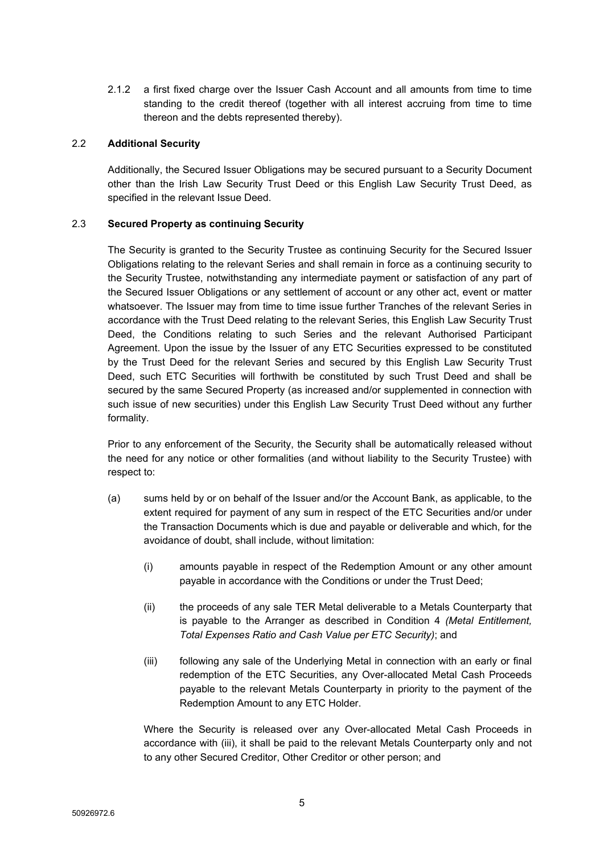2.1.2 a first fixed charge over the Issuer Cash Account and all amounts from time to time standing to the credit thereof (together with all interest accruing from time to time thereon and the debts represented thereby).

## 2.2 **Additional Security**

Additionally, the Secured Issuer Obligations may be secured pursuant to a Security Document other than the Irish Law Security Trust Deed or this English Law Security Trust Deed, as specified in the relevant Issue Deed.

## <span id="page-6-0"></span>2.3 **Secured Property as continuing Security**

The Security is granted to the Security Trustee as continuing Security for the Secured Issuer Obligations relating to the relevant Series and shall remain in force as a continuing security to the Security Trustee, notwithstanding any intermediate payment or satisfaction of any part of the Secured Issuer Obligations or any settlement of account or any other act, event or matter whatsoever. The Issuer may from time to time issue further Tranches of the relevant Series in accordance with the Trust Deed relating to the relevant Series, this English Law Security Trust Deed, the Conditions relating to such Series and the relevant Authorised Participant Agreement. Upon the issue by the Issuer of any ETC Securities expressed to be constituted by the Trust Deed for the relevant Series and secured by this English Law Security Trust Deed, such ETC Securities will forthwith be constituted by such Trust Deed and shall be secured by the same Secured Property (as increased and/or supplemented in connection with such issue of new securities) under this English Law Security Trust Deed without any further formality.

Prior to any enforcement of the Security, the Security shall be automatically released without the need for any notice or other formalities (and without liability to the Security Trustee) with respect to:

- (a) sums held by or on behalf of the Issuer and/or the Account Bank, as applicable, to the extent required for payment of any sum in respect of the ETC Securities and/or under the Transaction Documents which is due and payable or deliverable and which, for the avoidance of doubt, shall include, without limitation:
	- (i) amounts payable in respect of the Redemption Amount or any other amount payable in accordance with the Conditions or under the Trust Deed;
	- (ii) the proceeds of any sale TER Metal deliverable to a Metals Counterparty that is payable to the Arranger as described in Condition 4 *(Metal Entitlement, Total Expenses Ratio and Cash Value per ETC Security)*; and
	- (iii) following any sale of the Underlying Metal in connection with an early or final redemption of the ETC Securities, any Over-allocated Metal Cash Proceeds payable to the relevant Metals Counterparty in priority to the payment of the Redemption Amount to any ETC Holder.

Where the Security is released over any Over-allocated Metal Cash Proceeds in accordance with (iii), it shall be paid to the relevant Metals Counterparty only and not to any other Secured Creditor, Other Creditor or other person; and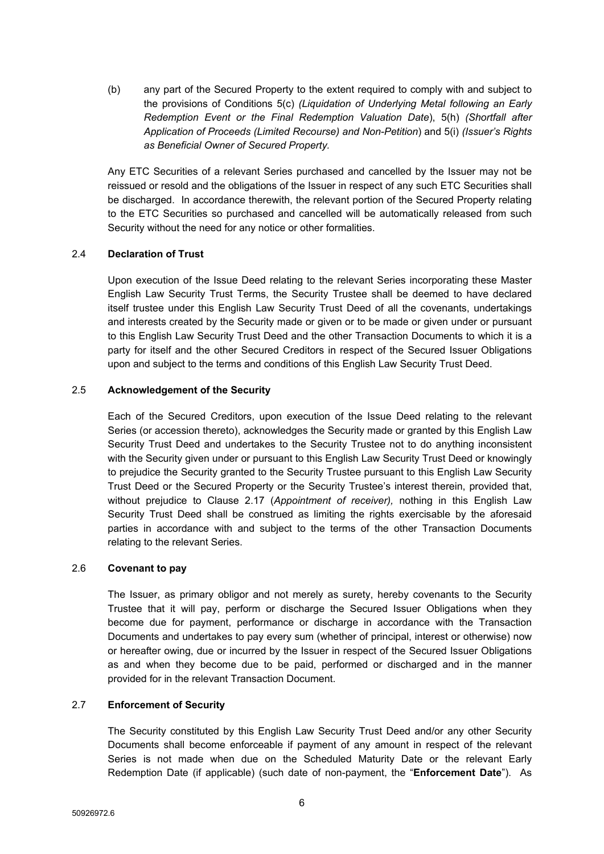(b) any part of the Secured Property to the extent required to comply with and subject to the provisions of Conditions 5(c) *(Liquidation of Underlying Metal following an Early Redemption Event or the Final Redemption Valuation Date*), 5(h) *(Shortfall after Application of Proceeds (Limited Recourse) and Non-Petition*) and 5(i) *(Issuer's Rights as Beneficial Owner of Secured Property.*

Any ETC Securities of a relevant Series purchased and cancelled by the Issuer may not be reissued or resold and the obligations of the Issuer in respect of any such ETC Securities shall be discharged. In accordance therewith, the relevant portion of the Secured Property relating to the ETC Securities so purchased and cancelled will be automatically released from such Security without the need for any notice or other formalities.

## 2.4 **Declaration of Trust**

Upon execution of the Issue Deed relating to the relevant Series incorporating these Master English Law Security Trust Terms, the Security Trustee shall be deemed to have declared itself trustee under this English Law Security Trust Deed of all the covenants, undertakings and interests created by the Security made or given or to be made or given under or pursuant to this English Law Security Trust Deed and the other Transaction Documents to which it is a party for itself and the other Secured Creditors in respect of the Secured Issuer Obligations upon and subject to the terms and conditions of this English Law Security Trust Deed.

## 2.5 **Acknowledgement of the Security**

Each of the Secured Creditors, upon execution of the Issue Deed relating to the relevant Series (or accession thereto), acknowledges the Security made or granted by this English Law Security Trust Deed and undertakes to the Security Trustee not to do anything inconsistent with the Security given under or pursuant to this English Law Security Trust Deed or knowingly to prejudice the Security granted to the Security Trustee pursuant to this English Law Security Trust Deed or the Secured Property or the Security Trustee's interest therein, provided that, without prejudice to Clause [2.17](#page-10-0) (*[Appointment](#page-10-0) of receiver),* nothing in this English Law Security Trust Deed shall be construed as limiting the rights exercisable by the aforesaid parties in accordance with and subject to the terms of the other Transaction Documents relating to the relevant Series.

## 2.6 **Covenant to pay**

The Issuer, as primary obligor and not merely as surety, hereby covenants to the Security Trustee that it will pay, perform or discharge the Secured Issuer Obligations when they become due for payment, performance or discharge in accordance with the Transaction Documents and undertakes to pay every sum (whether of principal, interest or otherwise) now or hereafter owing, due or incurred by the Issuer in respect of the Secured Issuer Obligations as and when they become due to be paid, performed or discharged and in the manner provided for in the relevant Transaction Document.

# <span id="page-7-0"></span>2.7 **Enforcement of Security**

The Security constituted by this English Law Security Trust Deed and/or any other Security Documents shall become enforceable if payment of any amount in respect of the relevant Series is not made when due on the Scheduled Maturity Date or the relevant Early Redemption Date (if applicable) (such date of non-payment, the "**Enforcement Date**"). As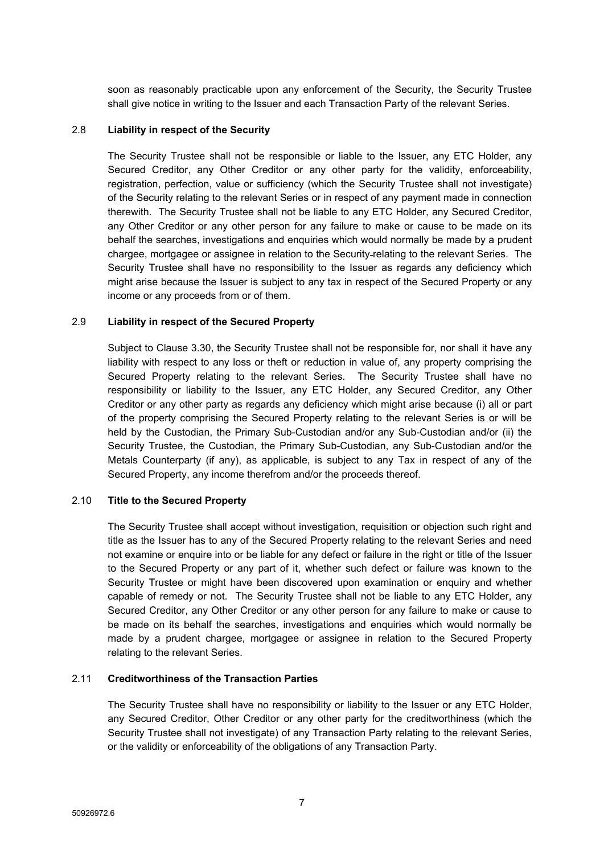soon as reasonably practicable upon any enforcement of the Security, the Security Trustee shall give notice in writing to the Issuer and each Transaction Party of the relevant Series.

#### 2.8 **Liability in respect of the Security**

The Security Trustee shall not be responsible or liable to the Issuer, any ETC Holder, any Secured Creditor, any Other Creditor or any other party for the validity, enforceability, registration, perfection, value or sufficiency (which the Security Trustee shall not investigate) of the Security relating to the relevant Series or in respect of any payment made in connection therewith. The Security Trustee shall not be liable to any ETC Holder, any Secured Creditor, any Other Creditor or any other person for any failure to make or cause to be made on its behalf the searches, investigations and enquiries which would normally be made by a prudent chargee, mortgagee or assignee in relation to the Security relating to the relevant Series. The Security Trustee shall have no responsibility to the Issuer as regards any deficiency which might arise because the Issuer is subject to any tax in respect of the Secured Property or any income or any proceeds from or of them.

#### 2.9 **Liability in respect of the Secured Property**

Subject to Clause [3.30](#page-22-1), the Security Trustee shall not be responsible for, nor shall it have any liability with respect to any loss or theft or reduction in value of, any property comprising the Secured Property relating to the relevant Series. The Security Trustee shall have no responsibility or liability to the Issuer, any ETC Holder, any Secured Creditor, any Other Creditor or any other party as regards any deficiency which might arise because (i) all or part of the property comprising the Secured Property relating to the relevant Series is or will be held by the Custodian, the Primary Sub-Custodian and/or any Sub-Custodian and/or (ii) the Security Trustee, the Custodian, the Primary Sub-Custodian, any Sub-Custodian and/or the Metals Counterparty (if any), as applicable, is subject to any Tax in respect of any of the Secured Property, any income therefrom and/or the proceeds thereof.

## 2.10 **Title to the Secured Property**

The Security Trustee shall accept without investigation, requisition or objection such right and title as the Issuer has to any of the Secured Property relating to the relevant Series and need not examine or enquire into or be liable for any defect or failure in the right or title of the Issuer to the Secured Property or any part of it, whether such defect or failure was known to the Security Trustee or might have been discovered upon examination or enquiry and whether capable of remedy or not. The Security Trustee shall not be liable to any ETC Holder, any Secured Creditor, any Other Creditor or any other person for any failure to make or cause to be made on its behalf the searches, investigations and enquiries which would normally be made by a prudent chargee, mortgagee or assignee in relation to the Secured Property relating to the relevant Series.

## 2.11 **Creditworthiness of the Transaction Parties**

The Security Trustee shall have no responsibility or liability to the Issuer or any ETC Holder, any Secured Creditor, Other Creditor or any other party for the creditworthiness (which the Security Trustee shall not investigate) of any Transaction Party relating to the relevant Series, or the validity or enforceability of the obligations of any Transaction Party.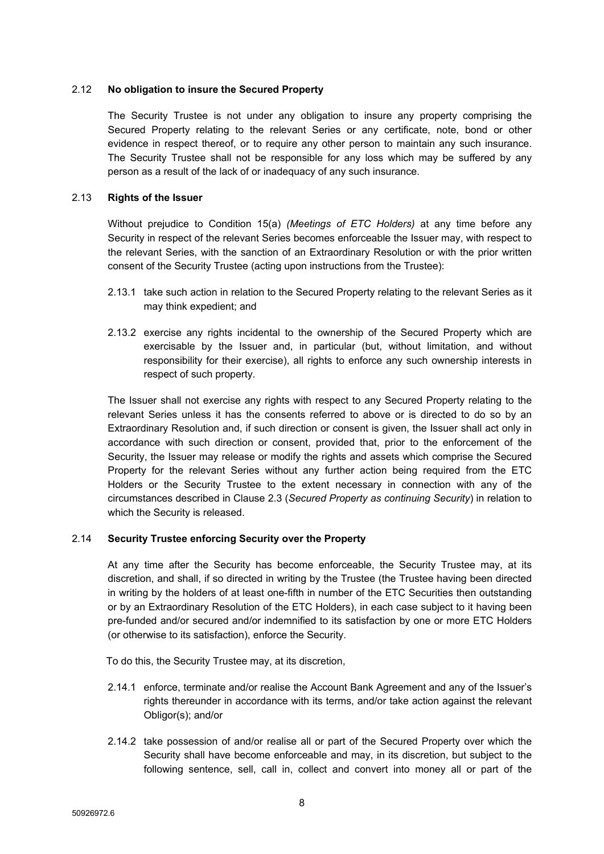## 2.12 **No obligation to insure the Secured Property**

The Security Trustee is not under any obligation to insure any property comprising the Secured Property relating to the relevant Series or any certificate, note, bond or other evidence in respect thereof, or to require any other person to maintain any such insurance. The Security Trustee shall not be responsible for any loss which may be suffered by any person as a result of the lack of or inadequacy of any such insurance.

## 2.13 **Rights of the Issuer**

Without prejudice to Condition 15(a) *(Meetings of ETC Holders)* at any time before any Security in respect of the relevant Series becomes enforceable the Issuer may, with respect to the relevant Series, with the sanction of an Extraordinary Resolution or with the prior written consent of the Security Trustee (acting upon instructions from the Trustee):

- 2.13.1 take such action in relation to the Secured Property relating to the relevant Series as it may think expedient; and
- 2.13.2 exercise any rights incidental to the ownership of the Secured Property which are exercisable by the Issuer and, in particular (but, without limitation, and without responsibility for their exercise), all rights to enforce any such ownership interests in respect of such property.

The Issuer shall not exercise any rights with respect to any Secured Property relating to the relevant Series unless it has the consents referred to above or is directed to do so by an Extraordinary Resolution and, if such direction or consent is given, the Issuer shall act only in accordance with such direction or consent, provided that, prior to the enforcement of the Security, the Issuer may release or modify the rights and assets which comprise the Secured Property for the relevant Series without any further action being required from the ETC Holders or the Security Trustee to the extent necessary in connection with any of the circumstances described in Clause [2.3](#page-6-0) (*Secured Property as [continuing](#page-6-0) Security*) in relation to which the Security is released.

# 2.14 **Security Trustee enforcing Security over the Property**

At any time after the Security has become enforceable, the Security Trustee may, at its discretion, and shall, if so directed in writing by the Trustee (the Trustee having been directed in writing by the holders of at least one-fifth in number of the ETC Securities then outstanding or by an Extraordinary Resolution of the ETC Holders), in each case subject to it having been pre-funded and/or secured and/or indemnified to its satisfaction by one or more ETC Holders (or otherwise to its satisfaction), enforce the Security.

To do this, the Security Trustee may, at its discretion,

- 2.14.1 enforce, terminate and/or realise the Account Bank Agreement and any of the Issuer's rights thereunder in accordance with its terms, and/or take action against the relevant Obligor(s); and/or
- 2.14.2 take possession of and/or realise all or part of the Secured Property over which the Security shall have become enforceable and may, in its discretion, but subject to the following sentence, sell, call in, collect and convert into money all or part of the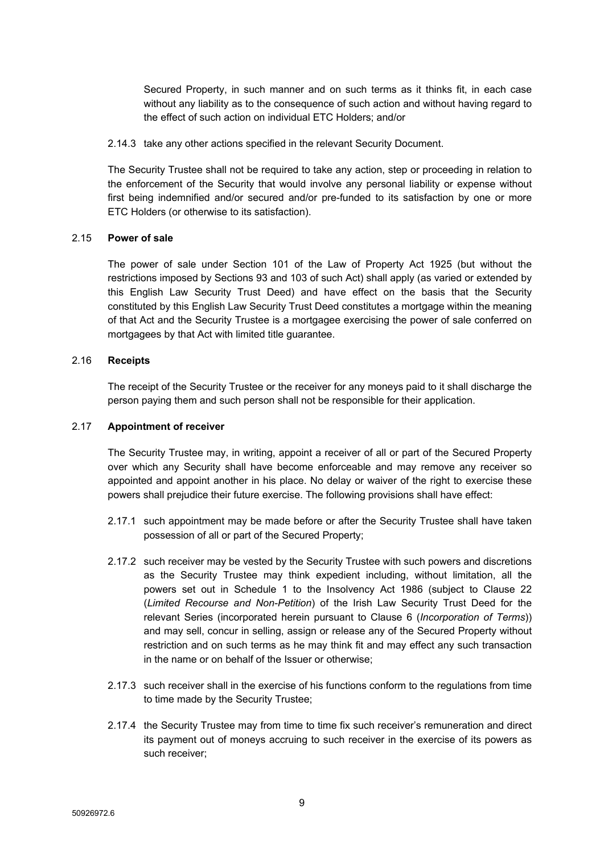Secured Property, in such manner and on such terms as it thinks fit, in each case without any liability as to the consequence of such action and without having regard to the effect of such action on individual ETC Holders; and/or

2.14.3 take any other actions specified in the relevant Security Document.

The Security Trustee shall not be required to take any action, step or proceeding in relation to the enforcement of the Security that would involve any personal liability or expense without first being indemnified and/or secured and/or pre-funded to its satisfaction by one or more ETC Holders (or otherwise to its satisfaction).

## 2.15 **Power of sale**

The power of sale under Section 101 of the Law of Property Act 1925 (but without the restrictions imposed by Sections 93 and 103 of such Act) shall apply (as varied or extended by this English Law Security Trust Deed) and have effect on the basis that the Security constituted by this English Law Security Trust Deed constitutes a mortgage within the meaning of that Act and the Security Trustee is a mortgagee exercising the power of sale conferred on mortgagees by that Act with limited title guarantee.

## 2.16 **Receipts**

The receipt of the Security Trustee or the receiver for any moneys paid to it shall discharge the person paying them and such person shall not be responsible for their application.

## <span id="page-10-0"></span>2.17 **Appointment of receiver**

The Security Trustee may, in writing, appoint a receiver of all or part of the Secured Property over which any Security shall have become enforceable and may remove any receiver so appointed and appoint another in his place. No delay or waiver of the right to exercise these powers shall prejudice their future exercise. The following provisions shall have effect:

- 2.17.1 such appointment may be made before or after the Security Trustee shall have taken possession of all or part of the Secured Property;
- 2.17.2 such receiver may be vested by the Security Trustee with such powers and discretions as the Security Trustee may think expedient including, without limitation, all the powers set out in Schedule 1 to the Insolvency Act 1986 (subject to Clause 22 (*Limited Recourse and Non-Petition*) of the Irish Law Security Trust Deed for the relevant Series (incorporated herein pursuant to Clause [6](#page-24-0) (*[Incorporation](#page-24-0) of Terms*)) and may sell, concur in selling, assign or release any of the Secured Property without restriction and on such terms as he may think fit and may effect any such transaction in the name or on behalf of the Issuer or otherwise;
- 2.17.3 such receiver shall in the exercise of his functions conform to the regulations from time to time made by the Security Trustee;
- 2.17.4 the Security Trustee may from time to time fix such receiver's remuneration and direct its payment out of moneys accruing to such receiver in the exercise of its powers as such receiver;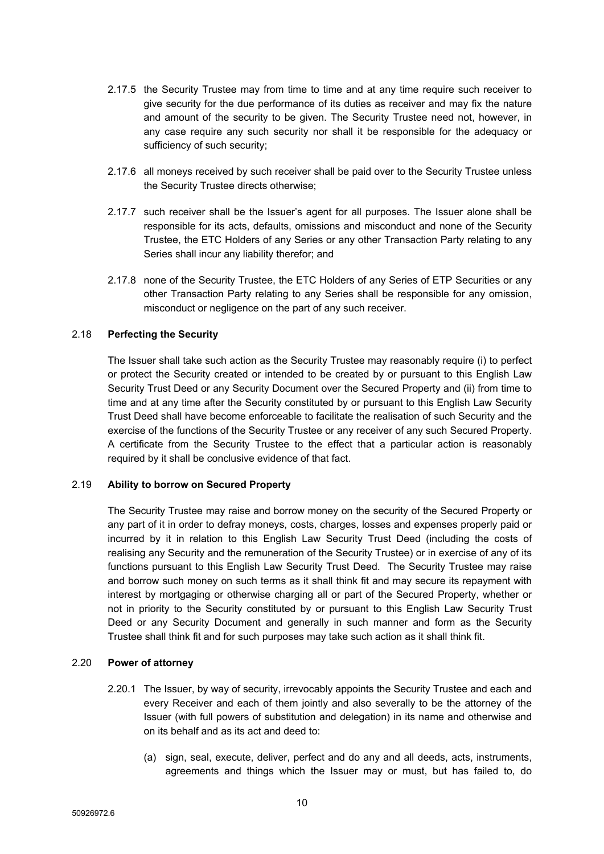- 2.17.5 the Security Trustee may from time to time and at any time require such receiver to give security for the due performance of its duties as receiver and may fix the nature and amount of the security to be given. The Security Trustee need not, however, in any case require any such security nor shall it be responsible for the adequacy or sufficiency of such security;
- 2.17.6 all moneys received by such receiver shall be paid over to the Security Trustee unless the Security Trustee directs otherwise;
- 2.17.7 such receiver shall be the Issuer's agent for all purposes. The Issuer alone shall be responsible for its acts, defaults, omissions and misconduct and none of the Security Trustee, the ETC Holders of any Series or any other Transaction Party relating to any Series shall incur any liability therefor; and
- 2.17.8 none of the Security Trustee, the ETC Holders of any Series of ETP Securities or any other Transaction Party relating to any Series shall be responsible for any omission, misconduct or negligence on the part of any such receiver.

## 2.18 **Perfecting the Security**

The Issuer shall take such action as the Security Trustee may reasonably require (i) to perfect or protect the Security created or intended to be created by or pursuant to this English Law Security Trust Deed or any Security Document over the Secured Property and (ii) from time to time and at any time after the Security constituted by or pursuant to this English Law Security Trust Deed shall have become enforceable to facilitate the realisation of such Security and the exercise of the functions of the Security Trustee or any receiver of any such Secured Property. A certificate from the Security Trustee to the effect that a particular action is reasonably required by it shall be conclusive evidence of that fact.

#### 2.19 **Ability to borrow on Secured Property**

The Security Trustee may raise and borrow money on the security of the Secured Property or any part of it in order to defray moneys, costs, charges, losses and expenses properly paid or incurred by it in relation to this English Law Security Trust Deed (including the costs of realising any Security and the remuneration of the Security Trustee) or in exercise of any of its functions pursuant to this English Law Security Trust Deed. The Security Trustee may raise and borrow such money on such terms as it shall think fit and may secure its repayment with interest by mortgaging or otherwise charging all or part of the Secured Property, whether or not in priority to the Security constituted by or pursuant to this English Law Security Trust Deed or any Security Document and generally in such manner and form as the Security Trustee shall think fit and for such purposes may take such action as it shall think fit.

#### 2.20 **Power of attorney**

- 2.20.1 The Issuer, by way of security, irrevocably appoints the Security Trustee and each and every Receiver and each of them jointly and also severally to be the attorney of the Issuer (with full powers of substitution and delegation) in its name and otherwise and on its behalf and as its act and deed to:
	- (a) sign, seal, execute, deliver, perfect and do any and all deeds, acts, instruments, agreements and things which the Issuer may or must, but has failed to, do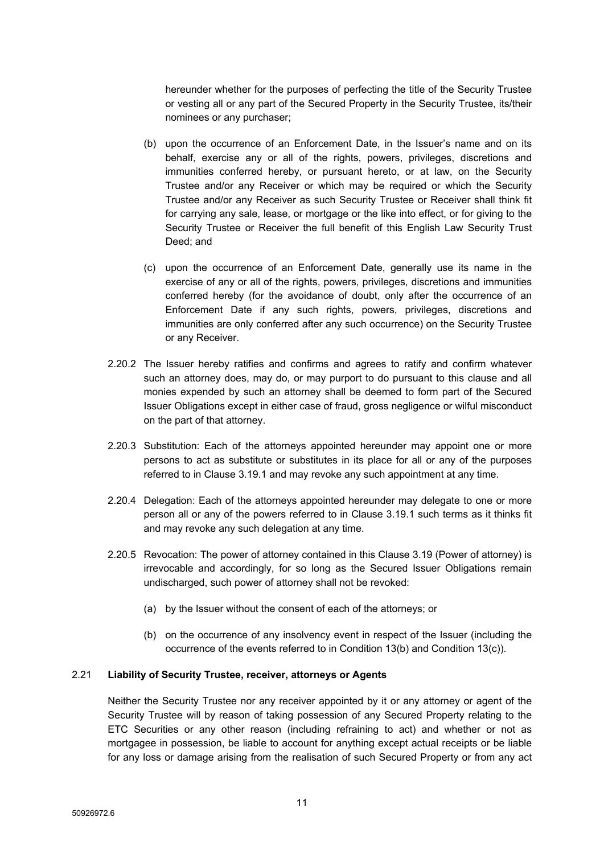hereunder whether for the purposes of perfecting the title of the Security Trustee or vesting all or any part of the Secured Property in the Security Trustee, its/their nominees or any purchaser;

- (b) upon the occurrence of an Enforcement Date, in the Issuer's name and on its behalf, exercise any or all of the rights, powers, privileges, discretions and immunities conferred hereby, or pursuant hereto, or at law, on the Security Trustee and/or any Receiver or which may be required or which the Security Trustee and/or any Receiver as such Security Trustee or Receiver shall think fit for carrying any sale, lease, or mortgage or the like into effect, or for giving to the Security Trustee or Receiver the full benefit of this English Law Security Trust Deed; and
- (c) upon the occurrence of an Enforcement Date, generally use its name in the exercise of any or all of the rights, powers, privileges, discretions and immunities conferred hereby (for the avoidance of doubt, only after the occurrence of an Enforcement Date if any such rights, powers, privileges, discretions and immunities are only conferred after any such occurrence) on the Security Trustee or any Receiver.
- 2.20.2 The Issuer hereby ratifies and confirms and agrees to ratify and confirm whatever such an attorney does, may do, or may purport to do pursuant to this clause and all monies expended by such an attorney shall be deemed to form part of the Secured Issuer Obligations except in either case of fraud, gross negligence or wilful misconduct on the part of that attorney.
- 2.20.3 Substitution: Each of the attorneys appointed hereunder may appoint one or more persons to act as substitute or substitutes in its place for all or any of the purposes referred to in Clause 3.19.1 and may revoke any such appointment at any time.
- 2.20.4 Delegation: Each of the attorneys appointed hereunder may delegate to one or more person all or any of the powers referred to in Clause 3.19.1 such terms as it thinks fit and may revoke any such delegation at any time.
- 2.20.5 Revocation: The power of attorney contained in this Clause 3.19 (Power of attorney) is irrevocable and accordingly, for so long as the Secured Issuer Obligations remain undischarged, such power of attorney shall not be revoked:
	- (a) by the Issuer without the consent of each of the attorneys; or
	- (b) on the occurrence of any insolvency event in respect of the Issuer (including the occurrence of the events referred to in Condition 13(b) and Condition 13(c)).

## 2.21 **Liability of Security Trustee, receiver, attorneys or Agents**

Neither the Security Trustee nor any receiver appointed by it or any attorney or agent of the Security Trustee will by reason of taking possession of any Secured Property relating to the ETC Securities or any other reason (including refraining to act) and whether or not as mortgagee in possession, be liable to account for anything except actual receipts or be liable for any loss or damage arising from the realisation of such Secured Property or from any act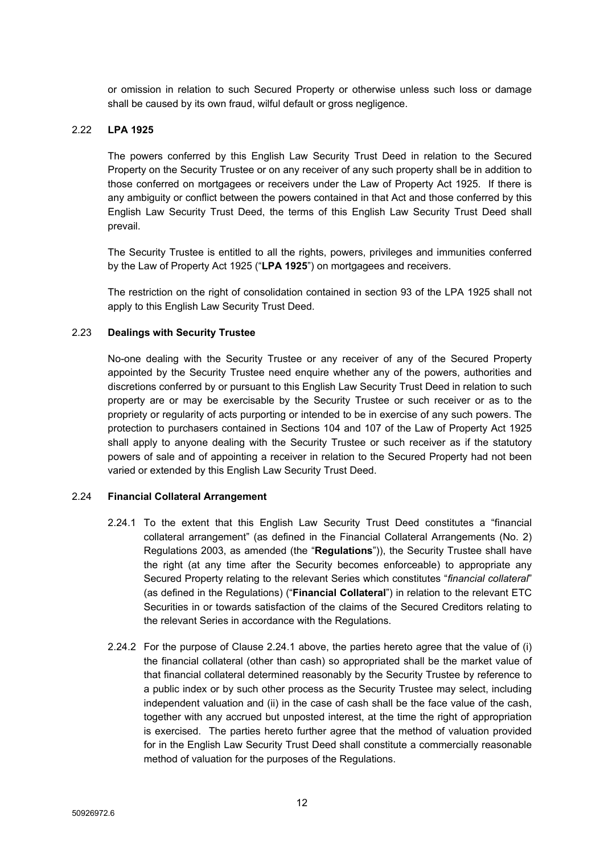or omission in relation to such Secured Property or otherwise unless such loss or damage shall be caused by its own fraud, wilful default or gross negligence.

## 2.22 **LPA 1925**

The powers conferred by this English Law Security Trust Deed in relation to the Secured Property on the Security Trustee or on any receiver of any such property shall be in addition to those conferred on mortgagees or receivers under the Law of Property Act 1925. If there is any ambiguity or conflict between the powers contained in that Act and those conferred by this English Law Security Trust Deed, the terms of this English Law Security Trust Deed shall prevail.

The Security Trustee is entitled to all the rights, powers, privileges and immunities conferred by the Law of Property Act 1925 ("**LPA 1925**") on mortgagees and receivers.

The restriction on the right of consolidation contained in section 93 of the LPA 1925 shall not apply to this English Law Security Trust Deed.

#### 2.23 **Dealings with Security Trustee**

No-one dealing with the Security Trustee or any receiver of any of the Secured Property appointed by the Security Trustee need enquire whether any of the powers, authorities and discretions conferred by or pursuant to this English Law Security Trust Deed in relation to such property are or may be exercisable by the Security Trustee or such receiver or as to the propriety or regularity of acts purporting or intended to be in exercise of any such powers. The protection to purchasers contained in Sections 104 and 107 of the Law of Property Act 1925 shall apply to anyone dealing with the Security Trustee or such receiver as if the statutory powers of sale and of appointing a receiver in relation to the Secured Property had not been varied or extended by this English Law Security Trust Deed.

## 2.24 **Financial Collateral Arrangement**

- <span id="page-13-0"></span>2.24.1 To the extent that this English Law Security Trust Deed constitutes a "financial collateral arrangement" (as defined in the Financial Collateral Arrangements (No. 2) Regulations 2003, as amended (the "**Regulations**")), the Security Trustee shall have the right (at any time after the Security becomes enforceable) to appropriate any Secured Property relating to the relevant Series which constitutes "*financial collateral*" (as defined in the Regulations) ("**Financial Collateral**") in relation to the relevant ETC Securities in or towards satisfaction of the claims of the Secured Creditors relating to the relevant Series in accordance with the Regulations.
- 2.24.2 For the purpose of Clause [2.24.1](#page-13-0) above, the parties hereto agree that the value of (i) the financial collateral (other than cash) so appropriated shall be the market value of that financial collateral determined reasonably by the Security Trustee by reference to a public index or by such other process as the Security Trustee may select, including independent valuation and (ii) in the case of cash shall be the face value of the cash, together with any accrued but unposted interest, at the time the right of appropriation is exercised. The parties hereto further agree that the method of valuation provided for in the English Law Security Trust Deed shall constitute a commercially reasonable method of valuation for the purposes of the Regulations.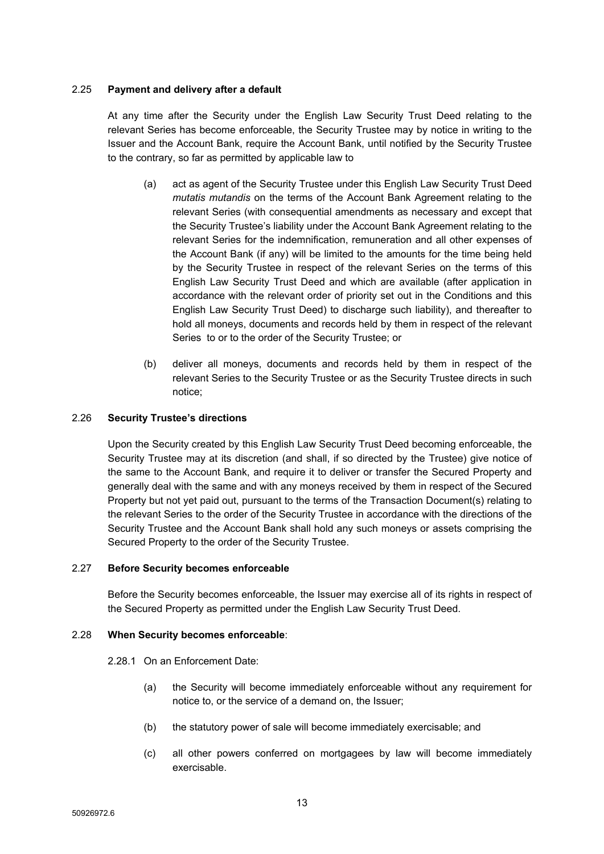## 2.25 **Payment and delivery after a default**

At any time after the Security under the English Law Security Trust Deed relating to the relevant Series has become enforceable, the Security Trustee may by notice in writing to the Issuer and the Account Bank, require the Account Bank, until notified by the Security Trustee to the contrary, so far as permitted by applicable law to

- (a) act as agent of the Security Trustee under this English Law Security Trust Deed *mutatis mutandis* on the terms of the Account Bank Agreement relating to the relevant Series (with consequential amendments as necessary and except that the Security Trustee's liability under the Account Bank Agreement relating to the relevant Series for the indemnification, remuneration and all other expenses of the Account Bank (if any) will be limited to the amounts for the time being held by the Security Trustee in respect of the relevant Series on the terms of this English Law Security Trust Deed and which are available (after application in accordance with the relevant order of priority set out in the Conditions and this English Law Security Trust Deed) to discharge such liability), and thereafter to hold all moneys, documents and records held by them in respect of the relevant Series to or to the order of the Security Trustee; or
- (b) deliver all moneys, documents and records held by them in respect of the relevant Series to the Security Trustee or as the Security Trustee directs in such notice;

#### 2.26 **Security Trustee's directions**

Upon the Security created by this English Law Security Trust Deed becoming enforceable, the Security Trustee may at its discretion (and shall, if so directed by the Trustee) give notice of the same to the Account Bank, and require it to deliver or transfer the Secured Property and generally deal with the same and with any moneys received by them in respect of the Secured Property but not yet paid out, pursuant to the terms of the Transaction Document(s) relating to the relevant Series to the order of the Security Trustee in accordance with the directions of the Security Trustee and the Account Bank shall hold any such moneys or assets comprising the Secured Property to the order of the Security Trustee.

## 2.27 **Before Security becomes enforceable**

Before the Security becomes enforceable, the Issuer may exercise all of its rights in respect of the Secured Property as permitted under the English Law Security Trust Deed.

#### 2.28 **When Security becomes enforceable**:

2.28.1 On an Enforcement Date:

- (a) the Security will become immediately enforceable without any requirement for notice to, or the service of a demand on, the Issuer;
- (b) the statutory power of sale will become immediately exercisable; and
- (c) all other powers conferred on mortgagees by law will become immediately exercisable.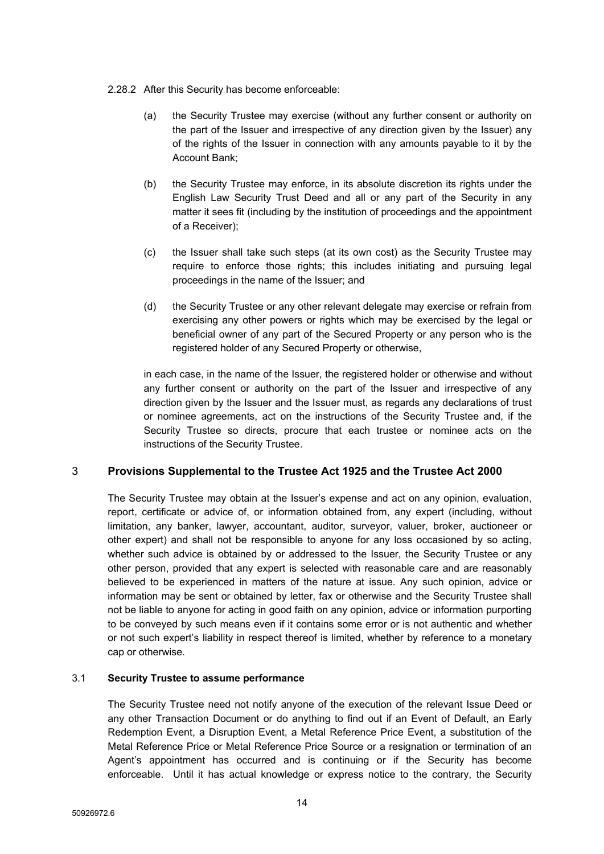- 2.28.2 After this Security has become enforceable:
	- (a) the Security Trustee may exercise (without any further consent or authority on the part of the Issuer and irrespective of any direction given by the Issuer) any of the rights of the Issuer in connection with any amounts payable to it by the Account Bank;
	- (b) the Security Trustee may enforce, in its absolute discretion its rights under the English Law Security Trust Deed and all or any part of the Security in any matter it sees fit (including by the institution of proceedings and the appointment of a Receiver);
	- (c) the Issuer shall take such steps (at its own cost) as the Security Trustee may require to enforce those rights; this includes initiating and pursuing legal proceedings in the name of the Issuer; and
	- (d) the Security Trustee or any other relevant delegate may exercise or refrain from exercising any other powers or rights which may be exercised by the legal or beneficial owner of any part of the Secured Property or any person who is the registered holder of any Secured Property or otherwise,

in each case, in the name of the Issuer, the registered holder or otherwise and without any further consent or authority on the part of the Issuer and irrespective of any direction given by the Issuer and the Issuer must, as regards any declarations of trust or nominee agreements, act on the instructions of the Security Trustee and, if the Security Trustee so directs, procure that each trustee or nominee acts on the instructions of the Security Trustee.

# <span id="page-15-0"></span>3 **Provisions Supplemental to the Trustee Act 1925 and the Trustee Act 2000**

The Security Trustee may obtain at the Issuer's expense and act on any opinion, evaluation, report, certificate or advice of, or information obtained from, any expert (including, without limitation, any banker, lawyer, accountant, auditor, surveyor, valuer, broker, auctioneer or other expert) and shall not be responsible to anyone for any loss occasioned by so acting, whether such advice is obtained by or addressed to the Issuer, the Security Trustee or any other person, provided that any expert is selected with reasonable care and are reasonably believed to be experienced in matters of the nature at issue. Any such opinion, advice or information may be sent or obtained by letter, fax or otherwise and the Security Trustee shall not be liable to anyone for acting in good faith on any opinion, advice or information purporting to be conveyed by such means even if it contains some error or is not authentic and whether or not such expert's liability in respect thereof is limited, whether by reference to a monetary cap or otherwise.

## 3.1 **Security Trustee to assume performance**

The Security Trustee need not notify anyone of the execution of the relevant Issue Deed or any other Transaction Document or do anything to find out if an Event of Default, an Early Redemption Event, a Disruption Event, a Metal Reference Price Event, a substitution of the Metal Reference Price or Metal Reference Price Source or a resignation or termination of an Agent's appointment has occurred and is continuing or if the Security has become enforceable. Until it has actual knowledge or express notice to the contrary, the Security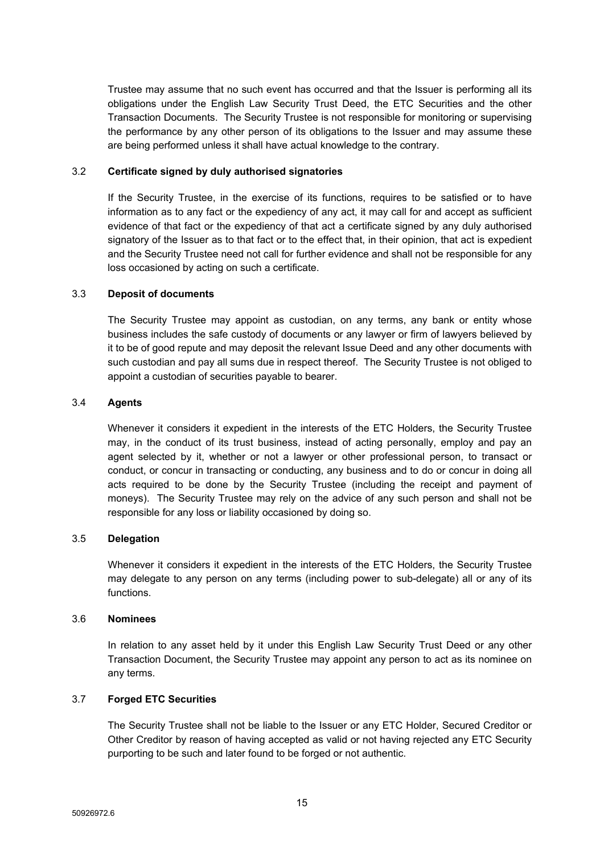Trustee may assume that no such event has occurred and that the Issuer is performing all its obligations under the English Law Security Trust Deed, the ETC Securities and the other Transaction Documents. The Security Trustee is not responsible for monitoring or supervising the performance by any other person of its obligations to the Issuer and may assume these are being performed unless it shall have actual knowledge to the contrary.

## 3.2 **Certificate signed by duly authorised signatories**

If the Security Trustee, in the exercise of its functions, requires to be satisfied or to have information as to any fact or the expediency of any act, it may call for and accept as sufficient evidence of that fact or the expediency of that act a certificate signed by any duly authorised signatory of the Issuer as to that fact or to the effect that, in their opinion, that act is expedient and the Security Trustee need not call for further evidence and shall not be responsible for any loss occasioned by acting on such a certificate.

#### 3.3 **Deposit of documents**

The Security Trustee may appoint as custodian, on any terms, any bank or entity whose business includes the safe custody of documents or any lawyer or firm of lawyers believed by it to be of good repute and may deposit the relevant Issue Deed and any other documents with such custodian and pay all sums due in respect thereof. The Security Trustee is not obliged to appoint a custodian of securities payable to bearer.

#### 3.4 **Agents**

Whenever it considers it expedient in the interests of the ETC Holders, the Security Trustee may, in the conduct of its trust business, instead of acting personally, employ and pay an agent selected by it, whether or not a lawyer or other professional person, to transact or conduct, or concur in transacting or conducting, any business and to do or concur in doing all acts required to be done by the Security Trustee (including the receipt and payment of moneys). The Security Trustee may rely on the advice of any such person and shall not be responsible for any loss or liability occasioned by doing so.

## 3.5 **Delegation**

Whenever it considers it expedient in the interests of the ETC Holders, the Security Trustee may delegate to any person on any terms (including power to sub-delegate) all or any of its functions.

#### 3.6 **Nominees**

In relation to any asset held by it under this English Law Security Trust Deed or any other Transaction Document, the Security Trustee may appoint any person to act as its nominee on any terms.

## 3.7 **Forged ETC Securities**

The Security Trustee shall not be liable to the Issuer or any ETC Holder, Secured Creditor or Other Creditor by reason of having accepted as valid or not having rejected any ETC Security purporting to be such and later found to be forged or not authentic.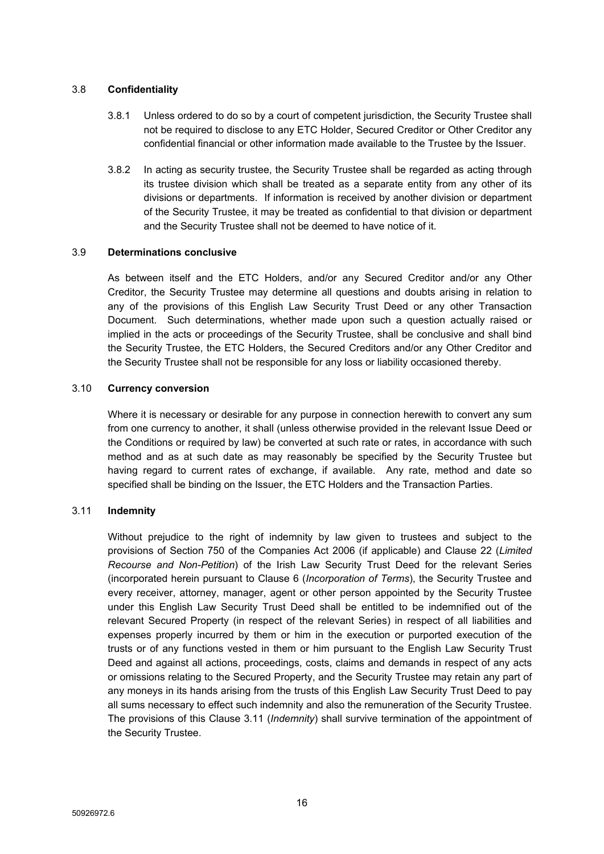## 3.8 **Confidentiality**

- 3.8.1 Unless ordered to do so by a court of competent jurisdiction, the Security Trustee shall not be required to disclose to any ETC Holder, Secured Creditor or Other Creditor any confidential financial or other information made available to the Trustee by the Issuer.
- 3.8.2 In acting as security trustee, the Security Trustee shall be regarded as acting through its trustee division which shall be treated as a separate entity from any other of its divisions or departments. If information is received by another division or department of the Security Trustee, it may be treated as confidential to that division or department and the Security Trustee shall not be deemed to have notice of it.

## 3.9 **Determinations conclusive**

As between itself and the ETC Holders, and/or any Secured Creditor and/or any Other Creditor, the Security Trustee may determine all questions and doubts arising in relation to any of the provisions of this English Law Security Trust Deed or any other Transaction Document. Such determinations, whether made upon such a question actually raised or implied in the acts or proceedings of the Security Trustee, shall be conclusive and shall bind the Security Trustee, the ETC Holders, the Secured Creditors and/or any Other Creditor and the Security Trustee shall not be responsible for any loss or liability occasioned thereby.

## 3.10 **Currency conversion**

Where it is necessary or desirable for any purpose in connection herewith to convert any sum from one currency to another, it shall (unless otherwise provided in the relevant Issue Deed or the Conditions or required by law) be converted at such rate or rates, in accordance with such method and as at such date as may reasonably be specified by the Security Trustee but having regard to current rates of exchange, if available. Any rate, method and date so specified shall be binding on the Issuer, the ETC Holders and the Transaction Parties.

## <span id="page-17-0"></span>3.11 **Indemnity**

Without prejudice to the right of indemnity by law given to trustees and subject to the provisions of Section 750 of the Companies Act 2006 (if applicable) and Clause 22 (*Limited Recourse and Non-Petition*) of the Irish Law Security Trust Deed for the relevant Series (incorporated herein pursuant to Clause [6](#page-24-0) (*[Incorporation](#page-24-0) of Terms*), the Security Trustee and every receiver, attorney, manager, agent or other person appointed by the Security Trustee under this English Law Security Trust Deed shall be entitled to be indemnified out of the relevant Secured Property (in respect of the relevant Series) in respect of all liabilities and expenses properly incurred by them or him in the execution or purported execution of the trusts or of any functions vested in them or him pursuant to the English Law Security Trust Deed and against all actions, proceedings, costs, claims and demands in respect of any acts or omissions relating to the Secured Property, and the Security Trustee may retain any part of any moneys in its hands arising from the trusts of this English Law Security Trust Deed to pay all sums necessary to effect such indemnity and also the remuneration of the Security Trustee. The provisions of this Clause [3.11](#page-17-0) (*[Indemnity](#page-17-0)*) shall survive termination of the appointment of the Security Trustee.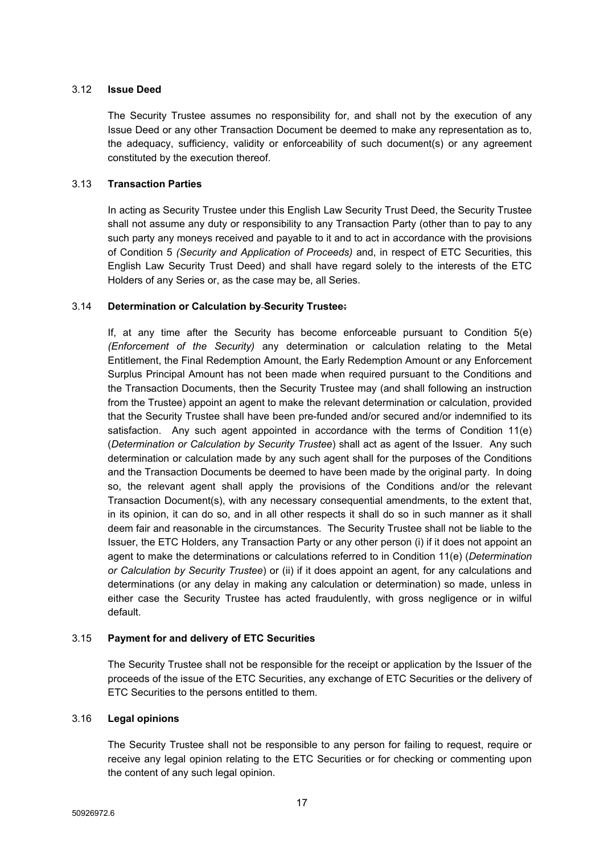## 3.12 **Issue Deed**

The Security Trustee assumes no responsibility for, and shall not by the execution of any Issue Deed or any other Transaction Document be deemed to make any representation as to, the adequacy, sufficiency, validity or enforceability of such document(s) or any agreement constituted by the execution thereof.

## 3.13 **Transaction Parties**

In acting as Security Trustee under this English Law Security Trust Deed, the Security Trustee shall not assume any duty or responsibility to any Transaction Party (other than to pay to any such party any moneys received and payable to it and to act in accordance with the provisions of Condition 5 *(Security and Application of Proceeds)* and, in respect of ETC Securities, this English Law Security Trust Deed) and shall have regard solely to the interests of the ETC Holders of any Series or, as the case may be, all Series.

## 3.14 **Determination or Calculation by Security Trustee:**

If, at any time after the Security has become enforceable pursuant to Condition 5(e) *(Enforcement of the Security)* any determination or calculation relating to the Metal Entitlement, the Final Redemption Amount, the Early Redemption Amount or any Enforcement Surplus Principal Amount has not been made when required pursuant to the Conditions and the Transaction Documents, then the Security Trustee may (and shall following an instruction from the Trustee) appoint an agent to make the relevant determination or calculation, provided that the Security Trustee shall have been pre-funded and/or secured and/or indemnified to its satisfaction. Any such agent appointed in accordance with the terms of Condition 11(e) (*Determination or Calculation by Security Trustee*) shall act as agent of the Issuer. Any such determination or calculation made by any such agent shall for the purposes of the Conditions and the Transaction Documents be deemed to have been made by the original party. In doing so, the relevant agent shall apply the provisions of the Conditions and/or the relevant Transaction Document(s), with any necessary consequential amendments, to the extent that, in its opinion, it can do so, and in all other respects it shall do so in such manner as it shall deem fair and reasonable in the circumstances. The Security Trustee shall not be liable to the Issuer, the ETC Holders, any Transaction Party or any other person (i) if it does not appoint an agent to make the determinations or calculations referred to in Condition 11(e) (*Determination or Calculation by Security Trustee*) or (ii) if it does appoint an agent, for any calculations and determinations (or any delay in making any calculation or determination) so made, unless in either case the Security Trustee has acted fraudulently, with gross negligence or in wilful default.

## 3.15 **Payment for and delivery of ETC Securities**

The Security Trustee shall not be responsible for the receipt or application by the Issuer of the proceeds of the issue of the ETC Securities, any exchange of ETC Securities or the delivery of ETC Securities to the persons entitled to them.

## 3.16 **Legal opinions**

The Security Trustee shall not be responsible to any person for failing to request, require or receive any legal opinion relating to the ETC Securities or for checking or commenting upon the content of any such legal opinion.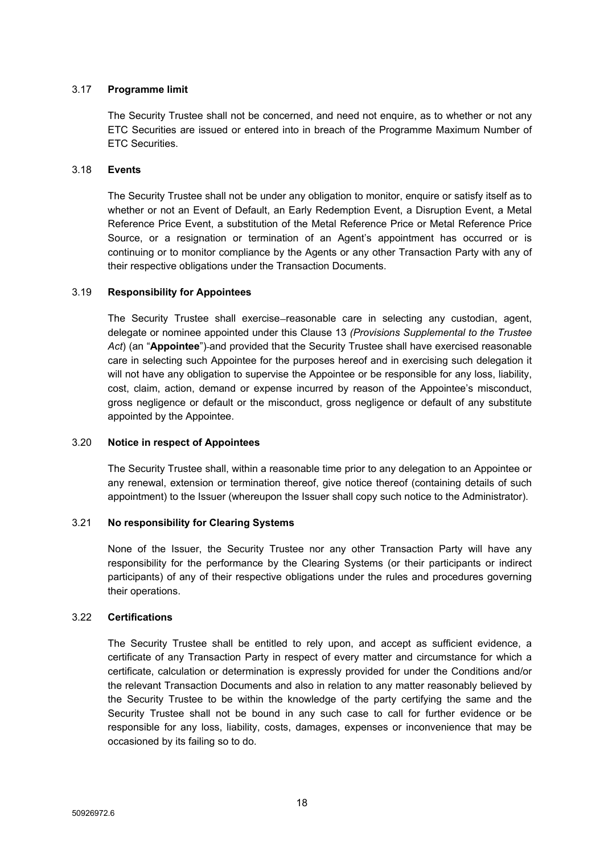## 3.17 **Programme limit**

The Security Trustee shall not be concerned, and need not enquire, as to whether or not any ETC Securities are issued or entered into in breach of the Programme Maximum Number of ETC Securities.

## 3.18 **Events**

The Security Trustee shall not be under any obligation to monitor, enquire or satisfy itself as to whether or not an Event of Default, an Early Redemption Event, a Disruption Event, a Metal Reference Price Event, a substitution of the Metal Reference Price or Metal Reference Price Source, or a resignation or termination of an Agent's appointment has occurred or is continuing or to monitor compliance by the Agents or any other Transaction Party with any of their respective obligations under the Transaction Documents.

#### 3.19 **Responsibility for Appointees**

The Security Trustee shall exercise–reasonable care in selecting any custodian, agent, delegate or nominee appointed under this Clause 13 *(Provisions Supplemental to the Trustee* Act) (an "Appointee")-and provided that the Security Trustee shall have exercised reasonable care in selecting such Appointee for the purposes hereof and in exercising such delegation it will not have any obligation to supervise the Appointee or be responsible for any loss, liability, cost, claim, action, demand or expense incurred by reason of the Appointee's misconduct, gross negligence or default or the misconduct, gross negligence or default of any substitute appointed by the Appointee.

#### 3.20 **Notice in respect of Appointees**

The Security Trustee shall, within a reasonable time prior to any delegation to an Appointee or any renewal, extension or termination thereof, give notice thereof (containing details of such appointment) to the Issuer (whereupon the Issuer shall copy such notice to the Administrator).

## 3.21 **No responsibility for Clearing Systems**

None of the Issuer, the Security Trustee nor any other Transaction Party will have any responsibility for the performance by the Clearing Systems (or their participants or indirect participants) of any of their respective obligations under the rules and procedures governing their operations.

## 3.22 **Certifications**

The Security Trustee shall be entitled to rely upon, and accept as sufficient evidence, a certificate of any Transaction Party in respect of every matter and circumstance for which a certificate, calculation or determination is expressly provided for under the Conditions and/or the relevant Transaction Documents and also in relation to any matter reasonably believed by the Security Trustee to be within the knowledge of the party certifying the same and the Security Trustee shall not be bound in any such case to call for further evidence or be responsible for any loss, liability, costs, damages, expenses or inconvenience that may be occasioned by its failing so to do.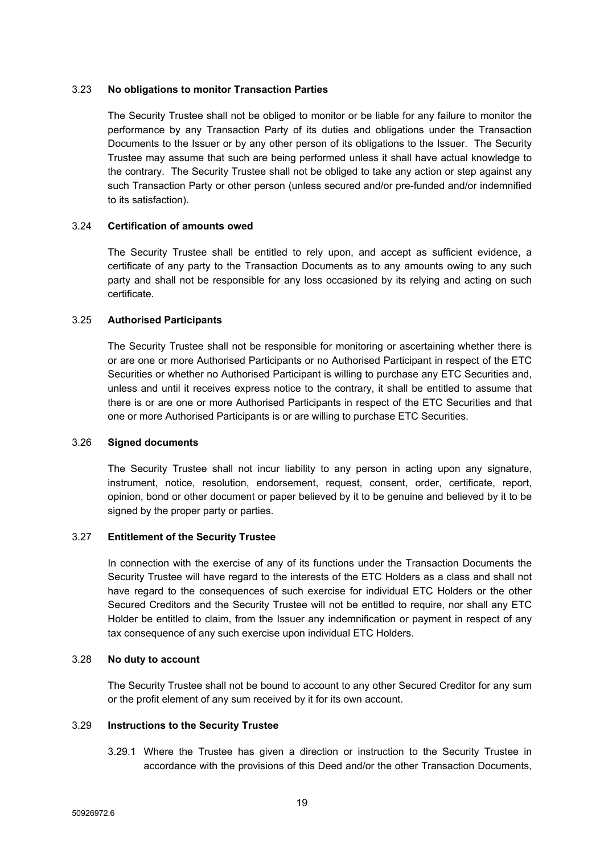#### 3.23 **No obligations to monitor Transaction Parties**

The Security Trustee shall not be obliged to monitor or be liable for any failure to monitor the performance by any Transaction Party of its duties and obligations under the Transaction Documents to the Issuer or by any other person of its obligations to the Issuer. The Security Trustee may assume that such are being performed unless it shall have actual knowledge to the contrary. The Security Trustee shall not be obliged to take any action or step against any such Transaction Party or other person (unless secured and/or pre-funded and/or indemnified to its satisfaction).

#### 3.24 **Certification of amounts owed**

The Security Trustee shall be entitled to rely upon, and accept as sufficient evidence, a certificate of any party to the Transaction Documents as to any amounts owing to any such party and shall not be responsible for any loss occasioned by its relying and acting on such certificate.

### 3.25 **Authorised Participants**

The Security Trustee shall not be responsible for monitoring or ascertaining whether there is or are one or more Authorised Participants or no Authorised Participant in respect of the ETC Securities or whether no Authorised Participant is willing to purchase any ETC Securities and, unless and until it receives express notice to the contrary, it shall be entitled to assume that there is or are one or more Authorised Participants in respect of the ETC Securities and that one or more Authorised Participants is or are willing to purchase ETC Securities.

#### 3.26 **Signed documents**

The Security Trustee shall not incur liability to any person in acting upon any signature, instrument, notice, resolution, endorsement, request, consent, order, certificate, report, opinion, bond or other document or paper believed by it to be genuine and believed by it to be signed by the proper party or parties.

## 3.27 **Entitlement of the Security Trustee**

In connection with the exercise of any of its functions under the Transaction Documents the Security Trustee will have regard to the interests of the ETC Holders as a class and shall not have regard to the consequences of such exercise for individual ETC Holders or the other Secured Creditors and the Security Trustee will not be entitled to require, nor shall any ETC Holder be entitled to claim, from the Issuer any indemnification or payment in respect of any tax consequence of any such exercise upon individual ETC Holders.

## 3.28 **No duty to account**

The Security Trustee shall not be bound to account to any other Secured Creditor for any sum or the profit element of any sum received by it for its own account.

## 3.29 **Instructions to the Security Trustee**

3.29.1 Where the Trustee has given a direction or instruction to the Security Trustee in accordance with the provisions of this Deed and/or the other Transaction Documents,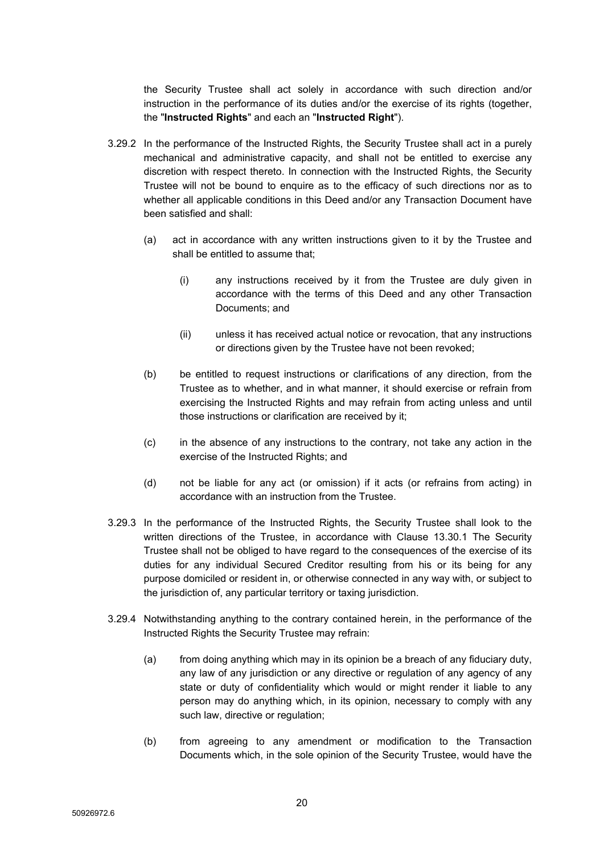the Security Trustee shall act solely in accordance with such direction and/or instruction in the performance of its duties and/or the exercise of its rights (together, the "**Instructed Rights**" and each an "**Instructed Right**").

- 3.29.2 In the performance of the Instructed Rights, the Security Trustee shall act in a purely mechanical and administrative capacity, and shall not be entitled to exercise any discretion with respect thereto. In connection with the Instructed Rights, the Security Trustee will not be bound to enquire as to the efficacy of such directions nor as to whether all applicable conditions in this Deed and/or any Transaction Document have been satisfied and shall:
	- (a) act in accordance with any written instructions given to it by the Trustee and shall be entitled to assume that;
		- (i) any instructions received by it from the Trustee are duly given in accordance with the terms of this Deed and any other Transaction Documents; and
		- (ii) unless it has received actual notice or revocation, that any instructions or directions given by the Trustee have not been revoked;
	- (b) be entitled to request instructions or clarifications of any direction, from the Trustee as to whether, and in what manner, it should exercise or refrain from exercising the Instructed Rights and may refrain from acting unless and until those instructions or clarification are received by it;
	- (c) in the absence of any instructions to the contrary, not take any action in the exercise of the Instructed Rights; and
	- (d) not be liable for any act (or omission) if it acts (or refrains from acting) in accordance with an instruction from the Trustee.
- 3.29.3 In the performance of the Instructed Rights, the Security Trustee shall look to the written directions of the Trustee, in accordance with Clause 13.30.1 The Security Trustee shall not be obliged to have regard to the consequences of the exercise of its duties for any individual Secured Creditor resulting from his or its being for any purpose domiciled or resident in, or otherwise connected in any way with, or subject to the jurisdiction of, any particular territory or taxing jurisdiction.
- 3.29.4 Notwithstanding anything to the contrary contained herein, in the performance of the Instructed Rights the Security Trustee may refrain:
	- (a) from doing anything which may in its opinion be a breach of any fiduciary duty, any law of any jurisdiction or any directive or regulation of any agency of any state or duty of confidentiality which would or might render it liable to any person may do anything which, in its opinion, necessary to comply with any such law, directive or regulation;
	- (b) from agreeing to any amendment or modification to the Transaction Documents which, in the sole opinion of the Security Trustee, would have the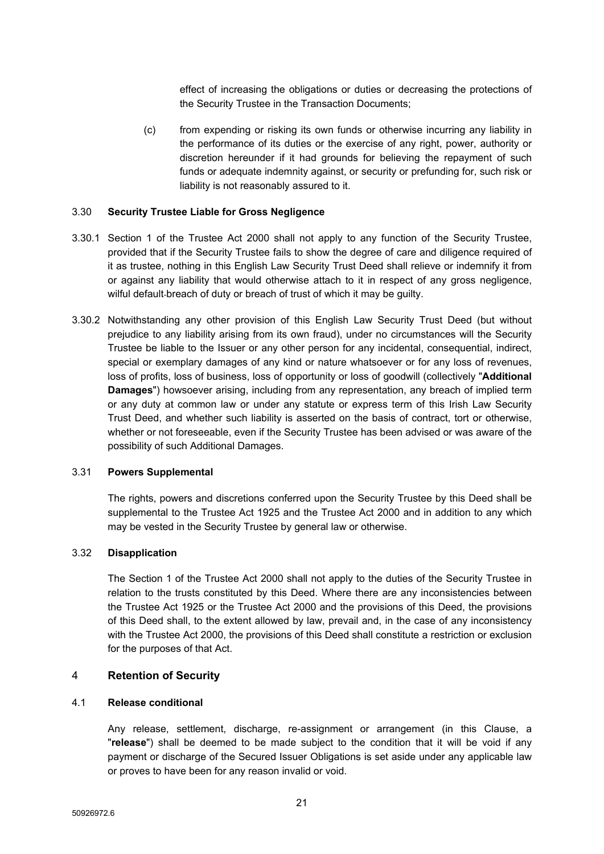effect of increasing the obligations or duties or decreasing the protections of the Security Trustee in the Transaction Documents;

(c) from expending or risking its own funds or otherwise incurring any liability in the performance of its duties or the exercise of any right, power, authority or discretion hereunder if it had grounds for believing the repayment of such funds or adequate indemnity against, or security or prefunding for, such risk or liability is not reasonably assured to it.

#### <span id="page-22-1"></span>3.30 **Security Trustee Liable for Gross Negligence**

- 3.30.1 Section 1 of the Trustee Act 2000 shall not apply to any function of the Security Trustee, provided that if the Security Trustee fails to show the degree of care and diligence required of it as trustee, nothing in this English Law Security Trust Deed shall relieve or indemnify it from or against any liability that would otherwise attach to it in respect of any gross negligence, wilful default-breach of duty or breach of trust of which it may be guilty.
- 3.30.2 Notwithstanding any other provision of this English Law Security Trust Deed (but without prejudice to any liability arising from its own fraud), under no circumstances will the Security Trustee be liable to the Issuer or any other person for any incidental, consequential, indirect, special or exemplary damages of any kind or nature whatsoever or for any loss of revenues, loss of profits, loss of business, loss of opportunity or loss of goodwill (collectively "**Additional Damages**") howsoever arising, including from any representation, any breach of implied term or any duty at common law or under any statute or express term of this Irish Law Security Trust Deed, and whether such liability is asserted on the basis of contract, tort or otherwise, whether or not foreseeable, even if the Security Trustee has been advised or was aware of the possibility of such Additional Damages.

#### 3.31 **Powers Supplemental**

The rights, powers and discretions conferred upon the Security Trustee by this Deed shall be supplemental to the Trustee Act 1925 and the Trustee Act 2000 and in addition to any which may be vested in the Security Trustee by general law or otherwise.

#### 3.32 **Disapplication**

The Section 1 of the Trustee Act 2000 shall not apply to the duties of the Security Trustee in relation to the trusts constituted by this Deed. Where there are any inconsistencies between the Trustee Act 1925 or the Trustee Act 2000 and the provisions of this Deed, the provisions of this Deed shall, to the extent allowed by law, prevail and, in the case of any inconsistency with the Trustee Act 2000, the provisions of this Deed shall constitute a restriction or exclusion for the purposes of that Act.

## <span id="page-22-0"></span>4 **Retention of Security**

#### 4.1 **Release conditional**

Any release, settlement, discharge, re-assignment or arrangement (in this Clause, a "**release**") shall be deemed to be made subject to the condition that it will be void if any payment or discharge of the Secured Issuer Obligations is set aside under any applicable law or proves to have been for any reason invalid or void.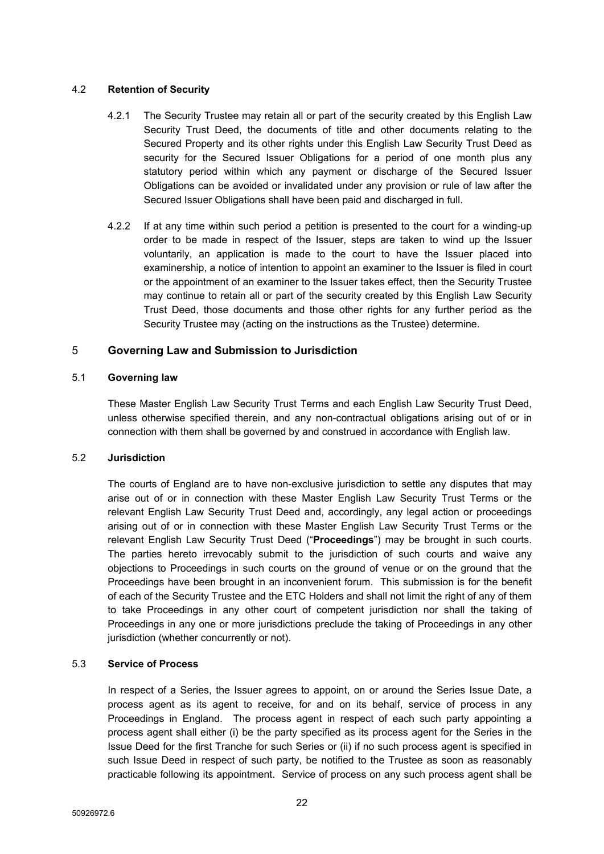## 4.2 **Retention of Security**

- 4.2.1 The Security Trustee may retain all or part of the security created by this English Law Security Trust Deed, the documents of title and other documents relating to the Secured Property and its other rights under this English Law Security Trust Deed as security for the Secured Issuer Obligations for a period of one month plus any statutory period within which any payment or discharge of the Secured Issuer Obligations can be avoided or invalidated under any provision or rule of law after the Secured Issuer Obligations shall have been paid and discharged in full.
- 4.2.2 If at any time within such period a petition is presented to the court for a winding-up order to be made in respect of the Issuer, steps are taken to wind up the Issuer voluntarily, an application is made to the court to have the Issuer placed into examinership, a notice of intention to appoint an examiner to the Issuer is filed in court or the appointment of an examiner to the Issuer takes effect, then the Security Trustee may continue to retain all or part of the security created by this English Law Security Trust Deed, those documents and those other rights for any further period as the Security Trustee may (acting on the instructions as the Trustee) determine.

# <span id="page-23-0"></span>5 **Governing Law and Submission to Jurisdiction**

## 5.1 **Governing law**

These Master English Law Security Trust Terms and each English Law Security Trust Deed, unless otherwise specified therein, and any non-contractual obligations arising out of or in connection with them shall be governed by and construed in accordance with English law.

## 5.2 **Jurisdiction**

The courts of England are to have non-exclusive jurisdiction to settle any disputes that may arise out of or in connection with these Master English Law Security Trust Terms or the relevant English Law Security Trust Deed and, accordingly, any legal action or proceedings arising out of or in connection with these Master English Law Security Trust Terms or the relevant English Law Security Trust Deed ("**Proceedings**") may be brought in such courts. The parties hereto irrevocably submit to the jurisdiction of such courts and waive any objections to Proceedings in such courts on the ground of venue or on the ground that the Proceedings have been brought in an inconvenient forum. This submission is for the benefit of each of the Security Trustee and the ETC Holders and shall not limit the right of any of them to take Proceedings in any other court of competent jurisdiction nor shall the taking of Proceedings in any one or more jurisdictions preclude the taking of Proceedings in any other jurisdiction (whether concurrently or not).

## <span id="page-23-1"></span>5.3 **Service of Process**

In respect of a Series, the Issuer agrees to appoint, on or around the Series Issue Date, a process agent as its agent to receive, for and on its behalf, service of process in any Proceedings in England. The process agent in respect of each such party appointing a process agent shall either (i) be the party specified as its process agent for the Series in the Issue Deed for the first Tranche for such Series or (ii) if no such process agent is specified in such Issue Deed in respect of such party, be notified to the Trustee as soon as reasonably practicable following its appointment. Service of process on any such process agent shall be